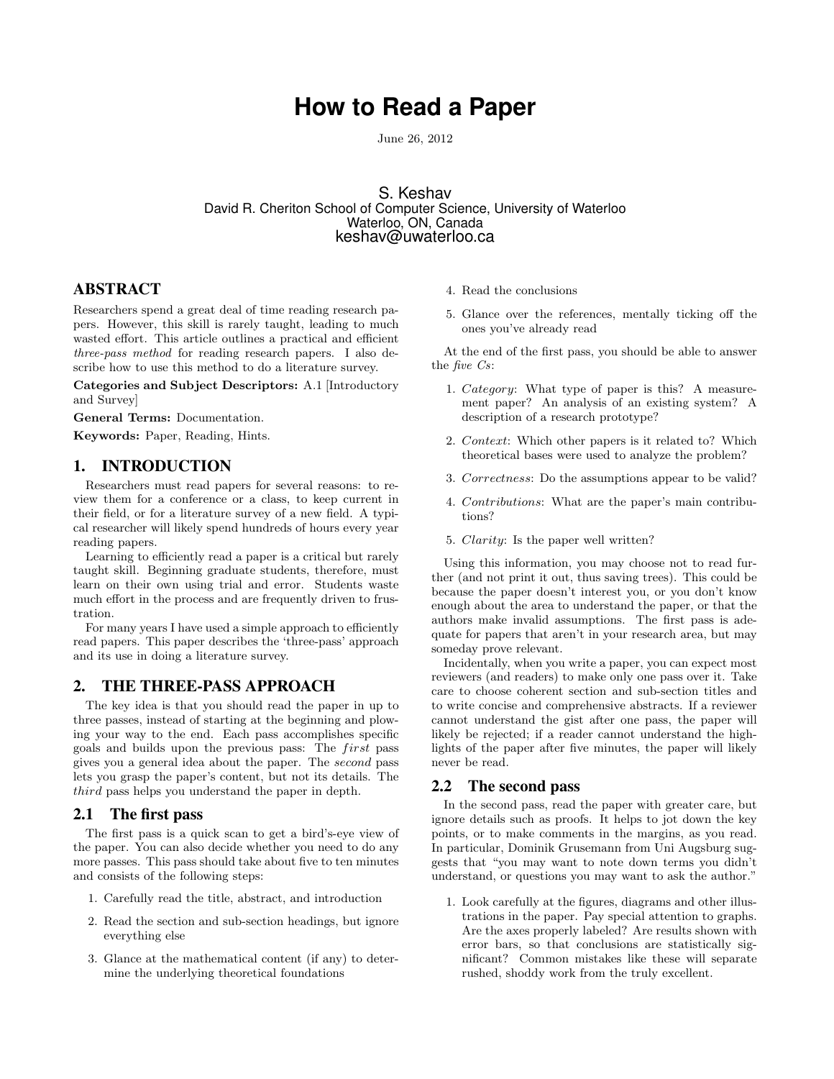# **How to Read a Paper**

June 26, 2012

#### S. Keshav David R. Cheriton School of Computer Science, University of Waterloo Waterloo, ON, Canada keshav@uwaterloo.ca

# ABSTRACT

Researchers spend a great deal of time reading research papers. However, this skill is rarely taught, leading to much wasted effort. This article outlines a practical and efficient *three-pass method* for reading research papers. I also describe how to use this method to do a literature survey.

Categories and Subject Descriptors: A.1 [Introductory and Survey]

General Terms: Documentation.

Keywords: Paper, Reading, Hints.

#### 1. INTRODUCTION

Researchers must read papers for several reasons: to review them for a conference or a class, to keep current in their field, or for a literature survey of a new field. A typical researcher will likely spend hundreds of hours every year reading papers.

Learning to efficiently read a paper is a critical but rarely taught skill. Beginning graduate students, therefore, must learn on their own using trial and error. Students waste much effort in the process and are frequently driven to frustration.

For many years I have used a simple approach to efficiently read papers. This paper describes the 'three-pass' approach and its use in doing a literature survey.

#### 2. THE THREE-PASS APPROACH

The key idea is that you should read the paper in up to three passes, instead of starting at the beginning and plowing your way to the end. Each pass accomplishes specific goals and builds upon the previous pass: The *f irst* pass gives you a general idea about the paper. The *second* pass lets you grasp the paper's content, but not its details. The *third* pass helps you understand the paper in depth.

#### 2.1 The first pass

The first pass is a quick scan to get a bird's-eye view of the paper. You can also decide whether you need to do any more passes. This pass should take about five to ten minutes and consists of the following steps:

- 1. Carefully read the title, abstract, and introduction
- 2. Read the section and sub-section headings, but ignore everything else
- 3. Glance at the mathematical content (if any) to determine the underlying theoretical foundations
- 4. Read the conclusions
- 5. Glance over the references, mentally ticking off the ones you've already read

At the end of the first pass, you should be able to answer the *five Cs*:

- 1. *Category*: What type of paper is this? A measurement paper? An analysis of an existing system? A description of a research prototype?
- 2. *Context*: Which other papers is it related to? Which theoretical bases were used to analyze the problem?
- 3. *Correctness*: Do the assumptions appear to be valid?
- 4. *Contributions*: What are the paper's main contributions?
- 5. *Clarity*: Is the paper well written?

Using this information, you may choose not to read further (and not print it out, thus saving trees). This could be because the paper doesn't interest you, or you don't know enough about the area to understand the paper, or that the authors make invalid assumptions. The first pass is adequate for papers that aren't in your research area, but may someday prove relevant.

Incidentally, when you write a paper, you can expect most reviewers (and readers) to make only one pass over it. Take care to choose coherent section and sub-section titles and to write concise and comprehensive abstracts. If a reviewer cannot understand the gist after one pass, the paper will likely be rejected; if a reader cannot understand the highlights of the paper after five minutes, the paper will likely never be read.

#### 2.2 The second pass

In the second pass, read the paper with greater care, but ignore details such as proofs. It helps to jot down the key points, or to make comments in the margins, as you read. In particular, Dominik Grusemann from Uni Augsburg suggests that "you may want to note down terms you didn't understand, or questions you may want to ask the author."

1. Look carefully at the figures, diagrams and other illustrations in the paper. Pay special attention to graphs. Are the axes properly labeled? Are results shown with error bars, so that conclusions are statistically significant? Common mistakes like these will separate rushed, shoddy work from the truly excellent.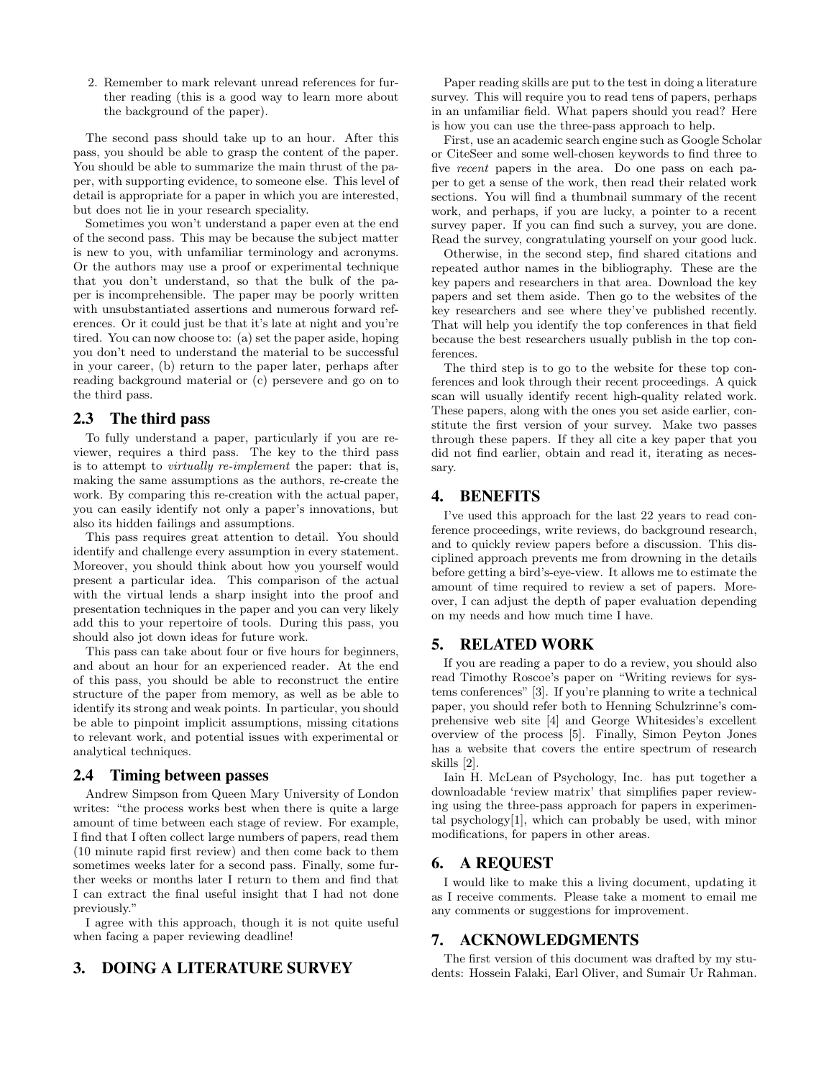2. Remember to mark relevant unread references for further reading (this is a good way to learn more about the background of the paper).

The second pass should take up to an hour. After this pass, you should be able to grasp the content of the paper. You should be able to summarize the main thrust of the paper, with supporting evidence, to someone else. This level of detail is appropriate for a paper in which you are interested, but does not lie in your research speciality.

Sometimes you won't understand a paper even at the end of the second pass. This may be because the subject matter is new to you, with unfamiliar terminology and acronyms. Or the authors may use a proof or experimental technique that you don't understand, so that the bulk of the paper is incomprehensible. The paper may be poorly written with unsubstantiated assertions and numerous forward references. Or it could just be that it's late at night and you're tired. You can now choose to: (a) set the paper aside, hoping you don't need to understand the material to be successful in your career, (b) return to the paper later, perhaps after reading background material or (c) persevere and go on to the third pass.

# 2.3 The third pass

To fully understand a paper, particularly if you are reviewer, requires a third pass. The key to the third pass is to attempt to *virtually re-implement* the paper: that is, making the same assumptions as the authors, re-create the work. By comparing this re-creation with the actual paper, you can easily identify not only a paper's innovations, but also its hidden failings and assumptions.

This pass requires great attention to detail. You should identify and challenge every assumption in every statement. Moreover, you should think about how you yourself would present a particular idea. This comparison of the actual with the virtual lends a sharp insight into the proof and presentation techniques in the paper and you can very likely add this to your repertoire of tools. During this pass, you should also jot down ideas for future work.

This pass can take about four or five hours for beginners, and about an hour for an experienced reader. At the end of this pass, you should be able to reconstruct the entire structure of the paper from memory, as well as be able to identify its strong and weak points. In particular, you should be able to pinpoint implicit assumptions, missing citations to relevant work, and potential issues with experimental or analytical techniques.

#### 2.4 Timing between passes

Andrew Simpson from Queen Mary University of London writes: "the process works best when there is quite a large amount of time between each stage of review. For example, I find that I often collect large numbers of papers, read them (10 minute rapid first review) and then come back to them sometimes weeks later for a second pass. Finally, some further weeks or months later I return to them and find that I can extract the final useful insight that I had not done previously."

I agree with this approach, though it is not quite useful when facing a paper reviewing deadline!

## 3. DOING A LITERATURE SURVEY

Paper reading skills are put to the test in doing a literature survey. This will require you to read tens of papers, perhaps in an unfamiliar field. What papers should you read? Here is how you can use the three-pass approach to help.

First, use an academic search engine such as Google Scholar or CiteSeer and some well-chosen keywords to find three to five *recent* papers in the area. Do one pass on each paper to get a sense of the work, then read their related work sections. You will find a thumbnail summary of the recent work, and perhaps, if you are lucky, a pointer to a recent survey paper. If you can find such a survey, you are done. Read the survey, congratulating yourself on your good luck.

Otherwise, in the second step, find shared citations and repeated author names in the bibliography. These are the key papers and researchers in that area. Download the key papers and set them aside. Then go to the websites of the key researchers and see where they've published recently. That will help you identify the top conferences in that field because the best researchers usually publish in the top conferences.

The third step is to go to the website for these top conferences and look through their recent proceedings. A quick scan will usually identify recent high-quality related work. These papers, along with the ones you set aside earlier, constitute the first version of your survey. Make two passes through these papers. If they all cite a key paper that you did not find earlier, obtain and read it, iterating as necessary.

#### 4. BENEFITS

I've used this approach for the last 22 years to read conference proceedings, write reviews, do background research, and to quickly review papers before a discussion. This disciplined approach prevents me from drowning in the details before getting a bird's-eye-view. It allows me to estimate the amount of time required to review a set of papers. Moreover, I can adjust the depth of paper evaluation depending on my needs and how much time I have.

## 5. RELATED WORK

If you are reading a paper to do a review, you should also read Timothy Roscoe's paper on "Writing reviews for systems conferences" [3]. If you're planning to write a technical paper, you should refer both to Henning Schulzrinne's comprehensive web site [4] and George Whitesides's excellent overview of the process [5]. Finally, Simon Peyton Jones has a website that covers the entire spectrum of research skills [2].

Iain H. McLean of Psychology, Inc. has put together a downloadable 'review matrix' that simplifies paper reviewing using the three-pass approach for papers in experimental psychology[1], which can probably be used, with minor modifications, for papers in other areas.

## 6. A REQUEST

I would like to make this a living document, updating it as I receive comments. Please take a moment to email me any comments or suggestions for improvement.

## 7. ACKNOWLEDGMENTS

The first version of this document was drafted by my students: Hossein Falaki, Earl Oliver, and Sumair Ur Rahman.